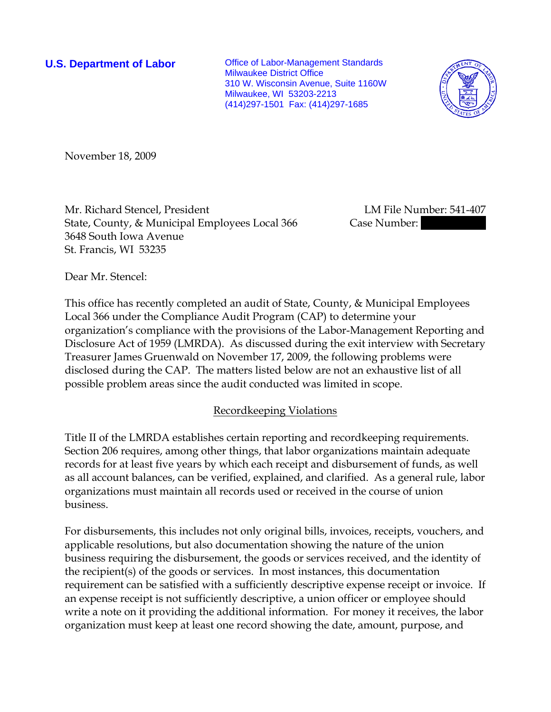**U.S. Department of Labor Conservative Conservative Conservative Conservative Conservative Conservative Conservative Conservative Conservative Conservative Conservative Conservative Conservative Conservative Conservative** Milwaukee District Office 310 W. Wisconsin Avenue, Suite 1160W Milwaukee, WI 53203-2213 (414)297-1501 Fax: (414)297-1685



November 18, 2009

Mr. Richard Stencel, President LM File Number: 541-407 State, County, & Municipal Employees Local 366 Case Number: 3648 South Iowa Avenue St. Francis, WI 53235

Dear Mr. Stencel:

This office has recently completed an audit of State, County, & Municipal Employees Local 366 under the Compliance Audit Program (CAP) to determine your organization's compliance with the provisions of the Labor-Management Reporting and Disclosure Act of 1959 (LMRDA). As discussed during the exit interview with Secretary Treasurer James Gruenwald on November 17, 2009, the following problems were disclosed during the CAP. The matters listed below are not an exhaustive list of all possible problem areas since the audit conducted was limited in scope.

## Recordkeeping Violations

Title II of the LMRDA establishes certain reporting and recordkeeping requirements. Section 206 requires, among other things, that labor organizations maintain adequate records for at least five years by which each receipt and disbursement of funds, as well as all account balances, can be verified, explained, and clarified. As a general rule, labor organizations must maintain all records used or received in the course of union business.

For disbursements, this includes not only original bills, invoices, receipts, vouchers, and applicable resolutions, but also documentation showing the nature of the union business requiring the disbursement, the goods or services received, and the identity of the recipient(s) of the goods or services. In most instances, this documentation requirement can be satisfied with a sufficiently descriptive expense receipt or invoice. If an expense receipt is not sufficiently descriptive, a union officer or employee should write a note on it providing the additional information. For money it receives, the labor organization must keep at least one record showing the date, amount, purpose, and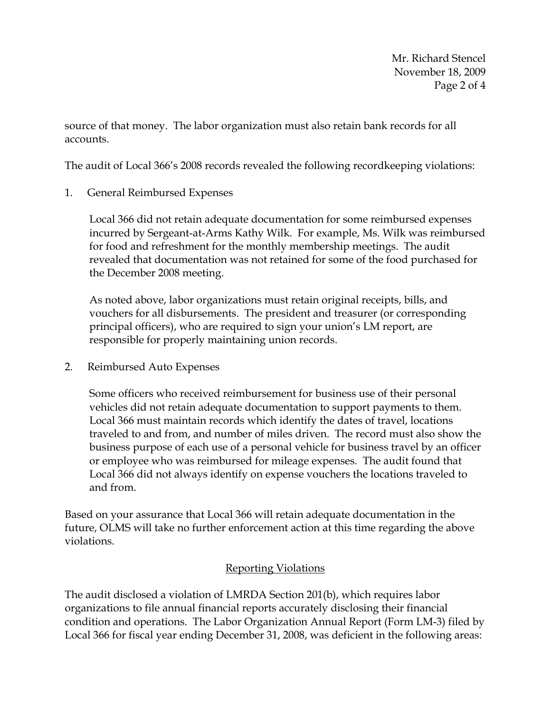Mr. Richard Stencel November 18, 2009 Page 2 of 4

source of that money. The labor organization must also retain bank records for all accounts.

The audit of Local 366's 2008 records revealed the following recordkeeping violations:

1. General Reimbursed Expenses

Local 366 did not retain adequate documentation for some reimbursed expenses incurred by Sergeant-at-Arms Kathy Wilk. For example, Ms. Wilk was reimbursed for food and refreshment for the monthly membership meetings. The audit revealed that documentation was not retained for some of the food purchased for the December 2008 meeting.

As noted above, labor organizations must retain original receipts, bills, and vouchers for all disbursements. The president and treasurer (or corresponding principal officers), who are required to sign your union's LM report, are responsible for properly maintaining union records.

2. Reimbursed Auto Expenses

Some officers who received reimbursement for business use of their personal vehicles did not retain adequate documentation to support payments to them. Local 366 must maintain records which identify the dates of travel, locations traveled to and from, and number of miles driven. The record must also show the business purpose of each use of a personal vehicle for business travel by an officer or employee who was reimbursed for mileage expenses. The audit found that Local 366 did not always identify on expense vouchers the locations traveled to and from.

Based on your assurance that Local 366 will retain adequate documentation in the future, OLMS will take no further enforcement action at this time regarding the above violations.

## Reporting Violations

The audit disclosed a violation of LMRDA Section 201(b), which requires labor organizations to file annual financial reports accurately disclosing their financial condition and operations. The Labor Organization Annual Report (Form LM-3) filed by Local 366 for fiscal year ending December 31, 2008, was deficient in the following areas: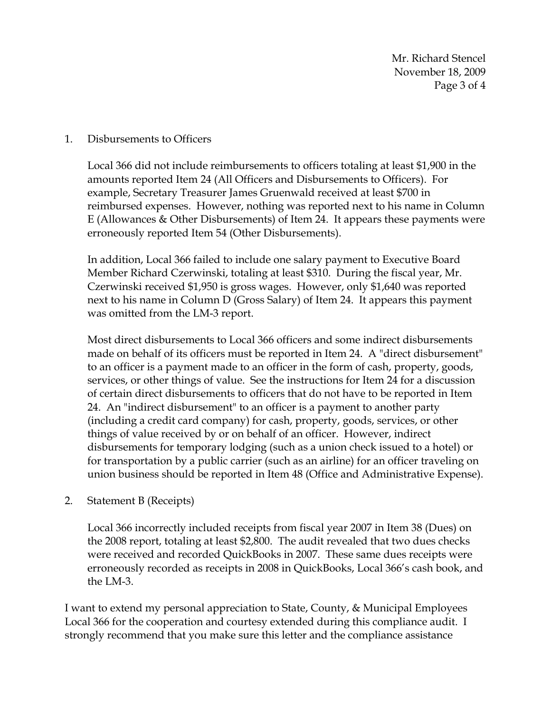Mr. Richard Stencel November 18, 2009 Page 3 of 4

## 1. Disbursements to Officers

Local 366 did not include reimbursements to officers totaling at least \$1,900 in the amounts reported Item 24 (All Officers and Disbursements to Officers). For example, Secretary Treasurer James Gruenwald received at least \$700 in reimbursed expenses. However, nothing was reported next to his name in Column E (Allowances & Other Disbursements) of Item 24. It appears these payments were erroneously reported Item 54 (Other Disbursements).

In addition, Local 366 failed to include one salary payment to Executive Board Member Richard Czerwinski, totaling at least \$310. During the fiscal year, Mr. Czerwinski received \$1,950 is gross wages. However, only \$1,640 was reported next to his name in Column D (Gross Salary) of Item 24. It appears this payment was omitted from the LM-3 report.

Most direct disbursements to Local 366 officers and some indirect disbursements made on behalf of its officers must be reported in Item 24. A "direct disbursement" to an officer is a payment made to an officer in the form of cash, property, goods, services, or other things of value. See the instructions for Item 24 for a discussion of certain direct disbursements to officers that do not have to be reported in Item 24. An "indirect disbursement" to an officer is a payment to another party (including a credit card company) for cash, property, goods, services, or other things of value received by or on behalf of an officer. However, indirect disbursements for temporary lodging (such as a union check issued to a hotel) or for transportation by a public carrier (such as an airline) for an officer traveling on union business should be reported in Item 48 (Office and Administrative Expense).

2. Statement B (Receipts)

Local 366 incorrectly included receipts from fiscal year 2007 in Item 38 (Dues) on the 2008 report, totaling at least \$2,800. The audit revealed that two dues checks were received and recorded QuickBooks in 2007. These same dues receipts were erroneously recorded as receipts in 2008 in QuickBooks, Local 366's cash book, and the LM-3.

I want to extend my personal appreciation to State, County, & Municipal Employees Local 366 for the cooperation and courtesy extended during this compliance audit. I strongly recommend that you make sure this letter and the compliance assistance